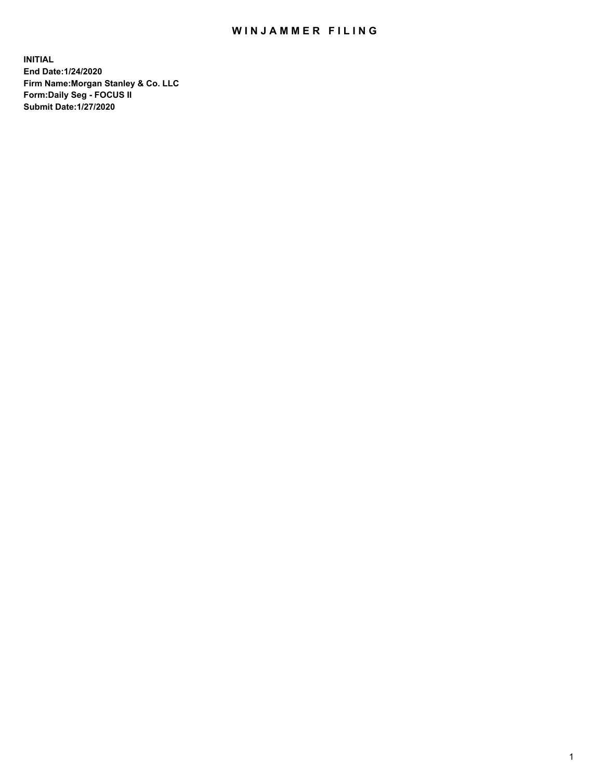## WIN JAMMER FILING

**INITIAL End Date:1/24/2020 Firm Name:Morgan Stanley & Co. LLC Form:Daily Seg - FOCUS II Submit Date:1/27/2020**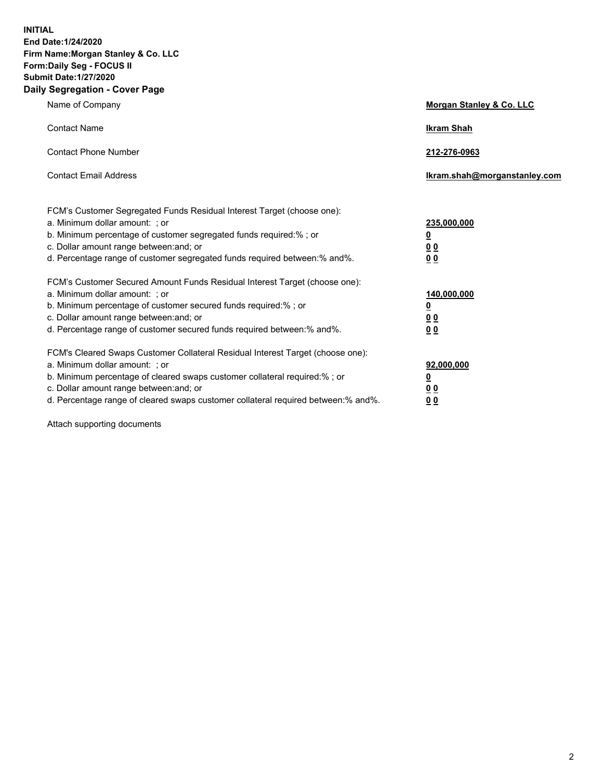**INITIAL End Date:1/24/2020 Firm Name:Morgan Stanley & Co. LLC Form:Daily Seg - FOCUS II Submit Date:1/27/2020 Daily Segregation - Cover Page**

| Name of Company                                                                                                                                                                                                                                                                                                                | Morgan Stanley & Co. LLC                                |
|--------------------------------------------------------------------------------------------------------------------------------------------------------------------------------------------------------------------------------------------------------------------------------------------------------------------------------|---------------------------------------------------------|
| <b>Contact Name</b>                                                                                                                                                                                                                                                                                                            | <b>Ikram Shah</b>                                       |
| <b>Contact Phone Number</b>                                                                                                                                                                                                                                                                                                    | 212-276-0963                                            |
| <b>Contact Email Address</b>                                                                                                                                                                                                                                                                                                   | Ikram.shah@morganstanley.com                            |
| FCM's Customer Segregated Funds Residual Interest Target (choose one):<br>a. Minimum dollar amount: ; or<br>b. Minimum percentage of customer segregated funds required:% ; or<br>c. Dollar amount range between: and; or<br>d. Percentage range of customer segregated funds required between:% and%.                         | 235,000,000<br><u>0</u><br>0 <sup>0</sup><br>00         |
| FCM's Customer Secured Amount Funds Residual Interest Target (choose one):<br>a. Minimum dollar amount: ; or<br>b. Minimum percentage of customer secured funds required:%; or<br>c. Dollar amount range between: and; or<br>d. Percentage range of customer secured funds required between:% and%.                            | 140,000,000<br><u>0</u><br><u>0 0</u><br>0 <sub>0</sub> |
| FCM's Cleared Swaps Customer Collateral Residual Interest Target (choose one):<br>a. Minimum dollar amount: ; or<br>b. Minimum percentage of cleared swaps customer collateral required:% ; or<br>c. Dollar amount range between: and; or<br>d. Percentage range of cleared swaps customer collateral required between:% and%. | 92,000,000<br><u>0</u><br><u>00</u><br>0 <sup>0</sup>   |

Attach supporting documents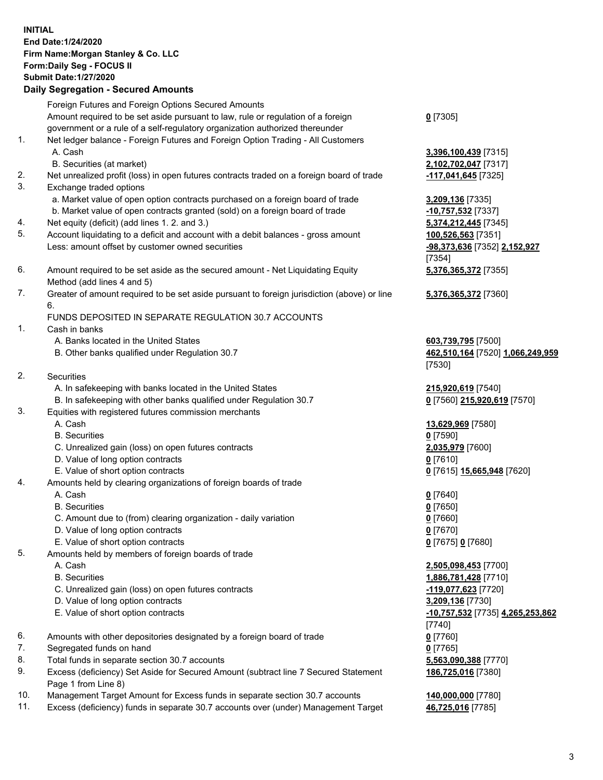## **INITIAL End Date:1/24/2020 Firm Name:Morgan Stanley & Co. LLC Form:Daily Seg - FOCUS II Submit Date:1/27/2020 Daily Segregation - Secured Amounts** Foreign Futures and Foreign Options Secured Amounts Amount required to be set aside pursuant to law, rule or regulation of a foreign government or a rule of a self-regulatory organization authorized thereunder **0** [7305] 1. Net ledger balance - Foreign Futures and Foreign Option Trading - All Customers A. Cash **3,396,100,439** [7315] B. Securities (at market) **2,102,702,047** [7317] 2. Net unrealized profit (loss) in open futures contracts traded on a foreign board of trade **-117,041,645** [7325] 3. Exchange traded options a. Market value of open option contracts purchased on a foreign board of trade **3,209,136** [7335] b. Market value of open contracts granted (sold) on a foreign board of trade **-10,757,532** [7337] 4. Net equity (deficit) (add lines 1. 2. and 3.) **5,374,212,445** [7345] 5. Account liquidating to a deficit and account with a debit balances - gross amount **100,526,563** [7351] Less: amount offset by customer owned securities **-98,373,636** [7352] **2,152,927** [7354] 6. Amount required to be set aside as the secured amount - Net Liquidating Equity Method (add lines 4 and 5) **5,376,365,372** [7355] 7. Greater of amount required to be set aside pursuant to foreign jurisdiction (above) or line 6. **5,376,365,372** [7360] FUNDS DEPOSITED IN SEPARATE REGULATION 30.7 ACCOUNTS 1. Cash in banks A. Banks located in the United States **603,739,795** [7500] B. Other banks qualified under Regulation 30.7 **462,510,164** [7520] **1,066,249,959** [7530] 2. Securities A. In safekeeping with banks located in the United States **215,920,619** [7540] B. In safekeeping with other banks qualified under Regulation 30.7 **0** [7560] **215,920,619** [7570] 3. Equities with registered futures commission merchants A. Cash **13,629,969** [7580] B. Securities **0** [7590] C. Unrealized gain (loss) on open futures contracts **2,035,979** [7600] D. Value of long option contracts **0** [7610] E. Value of short option contracts **0** [7615] **15,665,948** [7620] 4. Amounts held by clearing organizations of foreign boards of trade A. Cash **0** [7640] B. Securities **0** [7650] C. Amount due to (from) clearing organization - daily variation **0** [7660] D. Value of long option contracts **0** [7670] E. Value of short option contracts **0** [7675] **0** [7680] 5. Amounts held by members of foreign boards of trade A. Cash **2,505,098,453** [7700] B. Securities **1,886,781,428** [7710] C. Unrealized gain (loss) on open futures contracts **-119,077,623** [7720] D. Value of long option contracts **3,209,136** [7730] E. Value of short option contracts **-10,757,532** [7735] **4,265,253,862** [7740] 6. Amounts with other depositories designated by a foreign board of trade **0** [7760] 7. Segregated funds on hand **0** [7765] 8. Total funds in separate section 30.7 accounts **5,563,090,388** [7770] 9. Excess (deficiency) Set Aside for Secured Amount (subtract line 7 Secured Statement Page 1 from Line 8) **186,725,016** [7380]

- 10. Management Target Amount for Excess funds in separate section 30.7 accounts **140,000,000** [7780]
- 11. Excess (deficiency) funds in separate 30.7 accounts over (under) Management Target **46,725,016** [7785]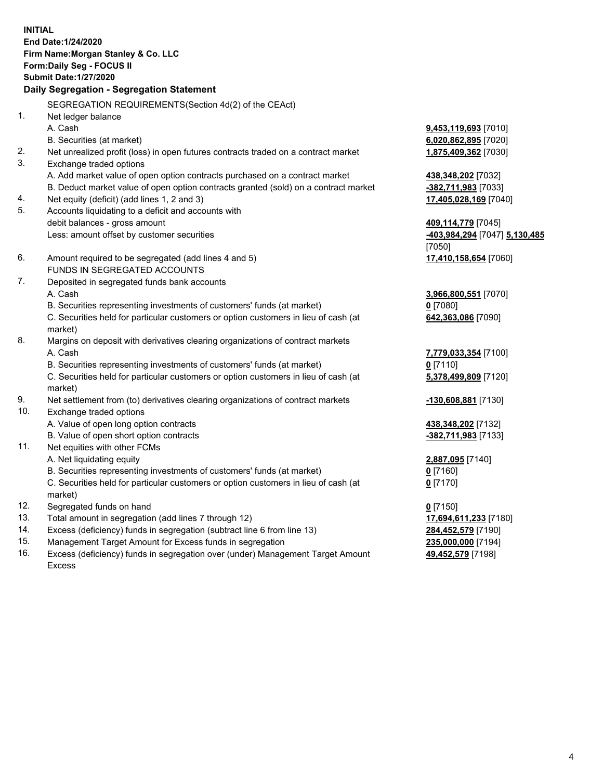**INITIAL End Date:1/24/2020 Firm Name:Morgan Stanley & Co. LLC Form:Daily Seg - FOCUS II Submit Date:1/27/2020 Daily Segregation - Segregation Statement** SEGREGATION REQUIREMENTS(Section 4d(2) of the CEAct) 1. Net ledger balance A. Cash **9,453,119,693** [7010] B. Securities (at market) **6,020,862,895** [7020] 2. Net unrealized profit (loss) in open futures contracts traded on a contract market **1,875,409,362** [7030] 3. Exchange traded options A. Add market value of open option contracts purchased on a contract market **438,348,202** [7032] B. Deduct market value of open option contracts granted (sold) on a contract market **-382,711,983** [7033] 4. Net equity (deficit) (add lines 1, 2 and 3) **17,405,028,169** [7040] 5. Accounts liquidating to a deficit and accounts with debit balances - gross amount **409,114,779** [7045] Less: amount offset by customer securities **-403,984,294** [7047] **5,130,485** [7050] 6. Amount required to be segregated (add lines 4 and 5) **17,410,158,654** [7060] FUNDS IN SEGREGATED ACCOUNTS 7. Deposited in segregated funds bank accounts A. Cash **3,966,800,551** [7070] B. Securities representing investments of customers' funds (at market) **0** [7080] C. Securities held for particular customers or option customers in lieu of cash (at market) **642,363,086** [7090] 8. Margins on deposit with derivatives clearing organizations of contract markets A. Cash **7,779,033,354** [7100] B. Securities representing investments of customers' funds (at market) **0** [7110] C. Securities held for particular customers or option customers in lieu of cash (at market) **5,378,499,809** [7120] 9. Net settlement from (to) derivatives clearing organizations of contract markets **-130,608,881** [7130] 10. Exchange traded options A. Value of open long option contracts **438,348,202** [7132] B. Value of open short option contracts **-382,711,983** [7133] 11. Net equities with other FCMs A. Net liquidating equity **2,887,095** [7140] B. Securities representing investments of customers' funds (at market) **0** [7160] C. Securities held for particular customers or option customers in lieu of cash (at market) **0** [7170] 12. Segregated funds on hand **0** [7150] 13. Total amount in segregation (add lines 7 through 12) **17,694,611,233** [7180] 14. Excess (deficiency) funds in segregation (subtract line 6 from line 13) **284,452,579** [7190] 15. Management Target Amount for Excess funds in segregation **235,000,000** [7194]

16. Excess (deficiency) funds in segregation over (under) Management Target Amount Excess

**49,452,579** [7198]